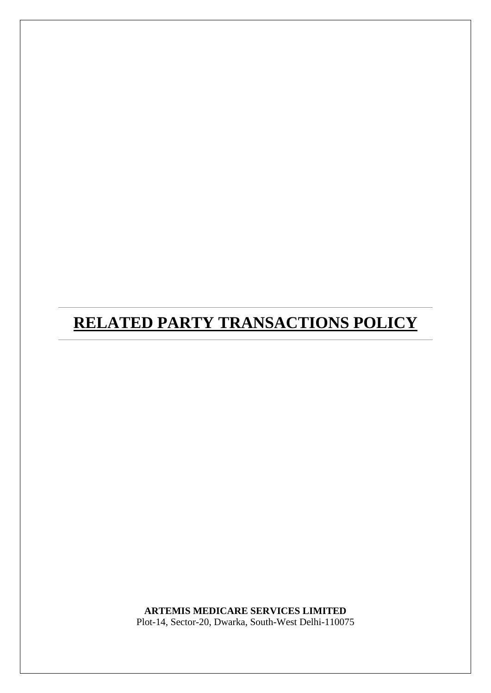# **RELATED PARTY TRANSACTIONS POLICY**

**ARTEMIS MEDICARE SERVICES LIMITED** Plot-14, Sector-20, Dwarka, South-West Delhi-110075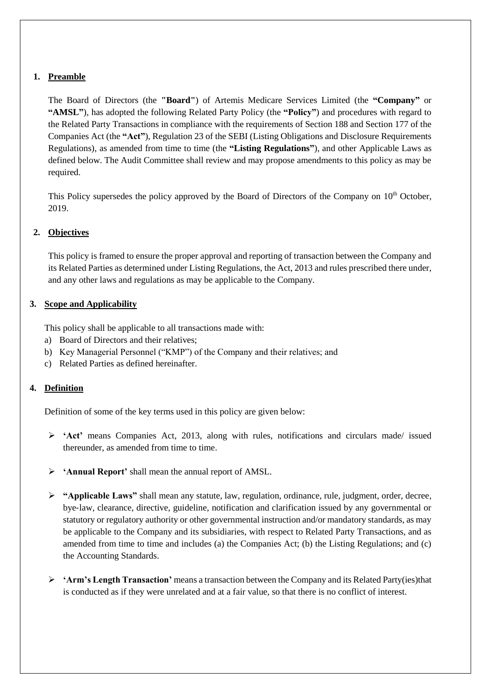## **1. Preamble**

The Board of Directors (the **"Board"**) of Artemis Medicare Services Limited (the **"Company"** or **"AMSL"**), has adopted the following Related Party Policy (the **"Policy"**) and procedures with regard to the Related Party Transactions in compliance with the requirements of Section 188 and Section 177 of the Companies Act (the **"Act"**), Regulation 23 of the SEBI (Listing Obligations and Disclosure Requirements Regulations), as amended from time to time (the **"Listing Regulations"**), and other Applicable Laws as defined below. The Audit Committee shall review and may propose amendments to this policy as may be required.

This Policy supersedes the policy approved by the Board of Directors of the Company on 10<sup>th</sup> October, 2019.

## **2. Objectives**

This policy is framed to ensure the proper approval and reporting of transaction between the Company and its Related Parties as determined under Listing Regulations, the Act, 2013 and rules prescribed there under, and any other laws and regulations as may be applicable to the Company.

## **3. Scope and Applicability**

This policy shall be applicable to all transactions made with:

- a) Board of Directors and their relatives;
- b) Key Managerial Personnel ("KMP") of the Company and their relatives; and
- c) Related Parties as defined hereinafter.

## **4. Definition**

Definition of some of the key terms used in this policy are given below:

- **'Act'** means Companies Act, 2013, along with rules, notifications and circulars made/ issued thereunder, as amended from time to time.
- **'Annual Report'** shall mean the annual report of AMSL.
- **"Applicable Laws"** shall mean any statute, law, regulation, ordinance, rule, judgment, order, decree, bye‐law, clearance, directive, guideline, notification and clarification issued by any governmental or statutory or regulatory authority or other governmental instruction and/or mandatory standards, as may be applicable to the Company and its subsidiaries, with respect to Related Party Transactions, and as amended from time to time and includes (a) the Companies Act; (b) the Listing Regulations; and (c) the Accounting Standards.
- **'Arm's Length Transaction'** means a transaction between the Company and its Related Party(ies)that is conducted as if they were unrelated and at a fair value, so that there is no conflict of interest.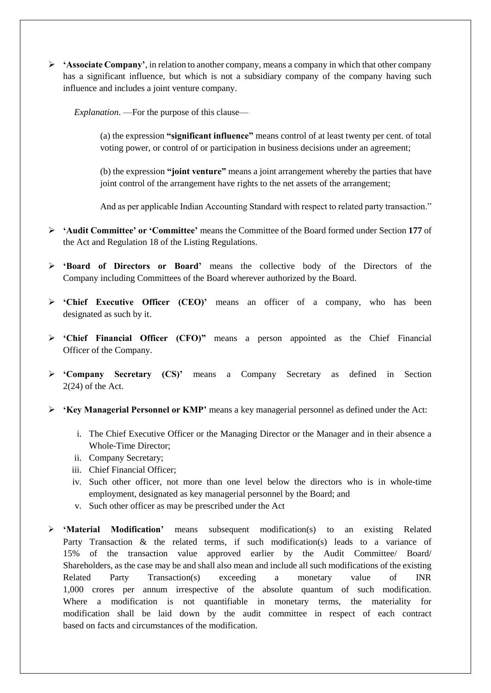$\triangleright$  **'Associate Company'**, in relation to another company, means a company in which that other company has a significant influence, but which is not a subsidiary company of the company having such influence and includes a joint venture company.

*Explanation*. —For the purpose of this clause—

(a) the expression **"significant influence"** means control of at least twenty per cent. of total voting power, or control of or participation in business decisions under an agreement;

(b) the expression **"joint venture"** means a joint arrangement whereby the parties that have joint control of the arrangement have rights to the net assets of the arrangement;

And as per applicable Indian Accounting Standard with respect to related party transaction."

- **'Audit Committee' or 'Committee'** means the Committee of the Board formed under Section **177** of the Act and Regulation 18 of the Listing Regulations.
- **'Board of Directors or Board'** means the collective body of the Directors of the Company including Committees of the Board wherever authorized by the Board.
- **'Chief Executive Officer (CEO)'** means an officer of a company, who has been designated as such by it.
- **'Chief Financial Officer (CFO)"** means a person appointed as the Chief Financial Officer of the Company.
- **'Company Secretary (CS)'** means a Company Secretary as defined in Section 2(24) of the Act.
- **'Key Managerial Personnel or KMP'** means a key managerial personnel as defined under the Act:
	- i. The Chief Executive Officer or the Managing Director or the Manager and in their absence a Whole-Time Director;
	- ii. Company Secretary;
	- iii. Chief Financial Officer;
	- iv. Such other officer, not more than one level below the directors who is in whole-time employment, designated as key managerial personnel by the Board; and
	- v. Such other officer as may be prescribed under the Act
- **'Material Modification'** means subsequent modification(s) to an existing Related Party Transaction & the related terms, if such modification(s) leads to a variance of 15% of the transaction value approved earlier by the Audit Committee/ Board/ Shareholders, as the case may be and shall also mean and include all such modifications of the existing Related Party Transaction(s) exceeding a monetary value of INR 1,000 crores per annum irrespective of the absolute quantum of such modification. Where a modification is not quantifiable in monetary terms, the materiality for modification shall be laid down by the audit committee in respect of each contract based on facts and circumstances of the modification.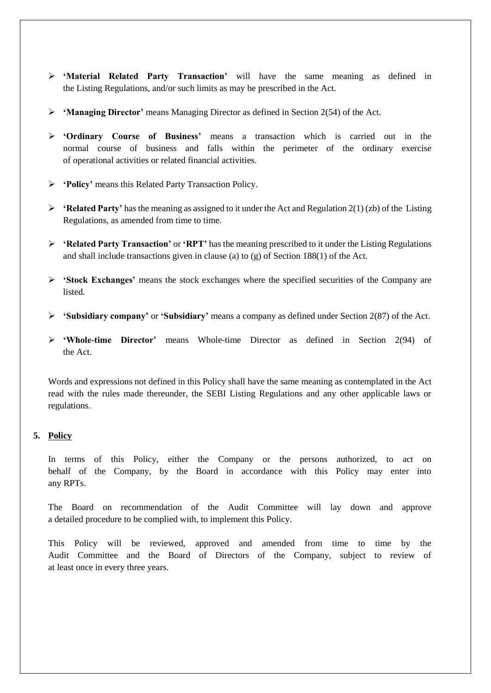- **'Material Related Party Transaction'** will have the same meaning as defined in the Listing Regulations, and/or such limits as may be prescribed in the Act.
- **'Managing Director'** means Managing Director as defined in Section 2(54) of the Act.
- **'Ordinary Course of Business'** means a transaction which is carried out in the normal course of business and falls within the perimeter of the ordinary exercise of operational activities or related financial activities.
- **'Policy'** means this Related Party Transaction Policy.
- **'Related Party'** has the meaning as assigned to it under the Act and Regulation 2(1) (zb) of the Listing Regulations, as amended from time to time.
- **'Related Party Transaction'** or **'RPT'** has the meaning prescribed to it under the Listing Regulations and shall include transactions given in clause (a) to (g) of Section 188(1) of the Act.
- **'Stock Exchanges'** means the stock exchanges where the specified securities of the Company are **listed**
- **'Subsidiary company'** or **'Subsidiary'** means a company as defined under Section 2(87) of the Act.
- **'Whole-time Director'** means Whole-time Director as defined in Section 2(94) of the Act.

Words and expressions not defined in this Policy shall have the same meaning as contemplated in the Act read with the rules made thereunder, the SEBI Listing Regulations and any other applicable laws or regulations.

#### **5. Policy**

In terms of this Policy, either the Company or the persons authorized, to act on behalf of the Company, by the Board in accordance with this Policy may enter into any RPTs.

The Board on recommendation of the Audit Committee will lay down and approve a detailed procedure to be complied with, to implement this Policy.

This Policy will be reviewed, approved and amended from time to time by the Audit Committee and the Board of Directors of the Company, subject to review of at least once in every three years.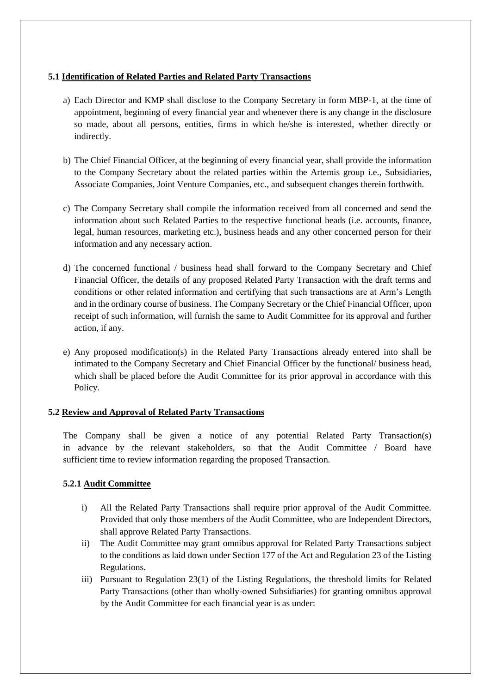## **5.1 Identification of Related Parties and Related Party Transactions**

- a) Each Director and KMP shall disclose to the Company Secretary in form MBP-1, at the time of appointment, beginning of every financial year and whenever there is any change in the disclosure so made, about all persons, entities, firms in which he/she is interested, whether directly or indirectly.
- b) The Chief Financial Officer, at the beginning of every financial year, shall provide the information to the Company Secretary about the related parties within the Artemis group i.e., Subsidiaries, Associate Companies, Joint Venture Companies, etc., and subsequent changes therein forthwith.
- c) The Company Secretary shall compile the information received from all concerned and send the information about such Related Parties to the respective functional heads (i.e. accounts, finance, legal, human resources, marketing etc.), business heads and any other concerned person for their information and any necessary action.
- d) The concerned functional / business head shall forward to the Company Secretary and Chief Financial Officer, the details of any proposed Related Party Transaction with the draft terms and conditions or other related information and certifying that such transactions are at Arm's Length and in the ordinary course of business. The Company Secretary or the Chief Financial Officer, upon receipt of such information, will furnish the same to Audit Committee for its approval and further action, if any.
- e) Any proposed modification(s) in the Related Party Transactions already entered into shall be intimated to the Company Secretary and Chief Financial Officer by the functional/ business head, which shall be placed before the Audit Committee for its prior approval in accordance with this Policy.

#### **5.2 Review and Approval of Related Party Transactions**

The Company shall be given a notice of any potential Related Party Transaction(s) in advance by the relevant stakeholders, so that the Audit Committee / Board have sufficient time to review information regarding the proposed Transaction.

## **5.2.1 Audit Committee**

- i) All the Related Party Transactions shall require prior approval of the Audit Committee. Provided that only those members of the Audit Committee, who are Independent Directors, shall approve Related Party Transactions.
- ii) The Audit Committee may grant omnibus approval for Related Party Transactions subject to the conditions as laid down under Section 177 of the Act and Regulation 23 of the Listing Regulations.
- iii) Pursuant to Regulation 23(1) of the Listing Regulations, the threshold limits for Related Party Transactions (other than wholly-owned Subsidiaries) for granting omnibus approval by the Audit Committee for each financial year is as under: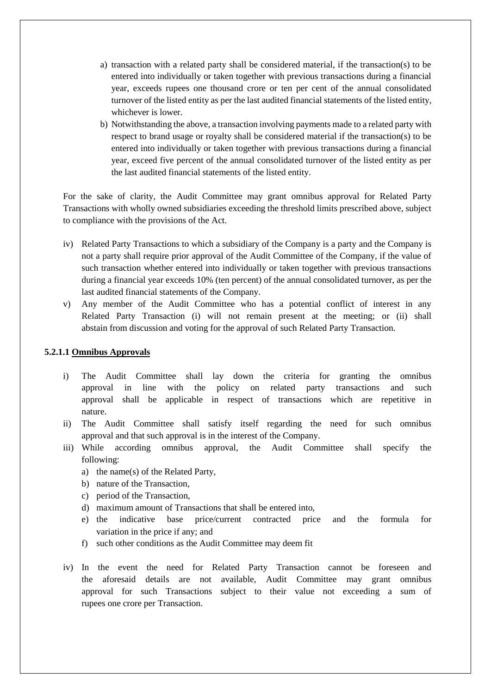- a) transaction with a related party shall be considered material, if the transaction(s) to be entered into individually or taken together with previous transactions during a financial year, exceeds rupees one thousand crore or ten per cent of the annual consolidated turnover of the listed entity as per the last audited financial statements of the listed entity, whichever is lower.
- b) Notwithstanding the above, a transaction involving payments made to a related party with respect to brand usage or royalty shall be considered material if the transaction(s) to be entered into individually or taken together with previous transactions during a financial year, exceed five percent of the annual consolidated turnover of the listed entity as per the last audited financial statements of the listed entity.

For the sake of clarity, the Audit Committee may grant omnibus approval for Related Party Transactions with wholly owned subsidiaries exceeding the threshold limits prescribed above, subject to compliance with the provisions of the Act.

- iv) Related Party Transactions to which a subsidiary of the Company is a party and the Company is not a party shall require prior approval of the Audit Committee of the Company, if the value of such transaction whether entered into individually or taken together with previous transactions during a financial year exceeds 10% (ten percent) of the annual consolidated turnover, as per the last audited financial statements of the Company.
- v) Any member of the Audit Committee who has a potential conflict of interest in any Related Party Transaction (i) will not remain present at the meeting; or (ii) shall abstain from discussion and voting for the approval of such Related Party Transaction.

#### **5.2.1.1 Omnibus Approvals**

- i) The Audit Committee shall lay down the criteria for granting the omnibus approval in line with the policy on related party transactions and such approval shall be applicable in respect of transactions which are repetitive in nature.
- ii) The Audit Committee shall satisfy itself regarding the need for such omnibus approval and that such approval is in the interest of the Company.
- iii) While according omnibus approval, the Audit Committee shall specify the following:
	- a) the name(s) of the Related Party,
	- b) nature of the Transaction,
	- c) period of the Transaction,
	- d) maximum amount of Transactions that shall be entered into,
	- e) the indicative base price/current contracted price and the formula for variation in the price if any; and
	- f) such other conditions as the Audit Committee may deem fit
- iv) In the event the need for Related Party Transaction cannot be foreseen and the aforesaid details are not available, Audit Committee may grant omnibus approval for such Transactions subject to their value not exceeding a sum of rupees one crore per Transaction.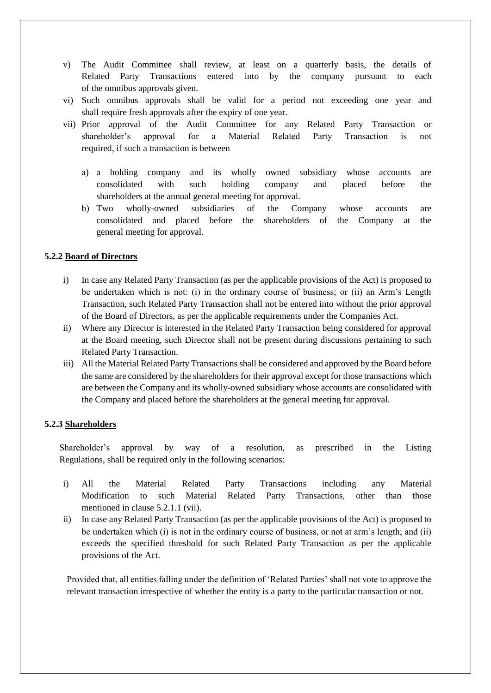- v) The Audit Committee shall review, at least on a quarterly basis, the details of Related Party Transactions entered into by the company pursuant to each of the omnibus approvals given.
- vi) Such omnibus approvals shall be valid for a period not exceeding one year and shall require fresh approvals after the expiry of one year.
- vii) Prior approval of the Audit Committee for any Related Party Transaction or shareholder's approval for a Material Related Party Transaction is not required, if such a transaction is between
	- a) a holding company and its wholly owned subsidiary whose accounts are consolidated with such holding company and placed before the shareholders at the annual general meeting for approval.
	- b) Two wholly-owned subsidiaries of the Company whose accounts are consolidated and placed before the shareholders of the Company at the general meeting for approval.

## **5.2.2 Board of Directors**

- i) In case any Related Party Transaction (as per the applicable provisions of the Act) is proposed to be undertaken which is not: (i) in the ordinary course of business; or (ii) an Arm's Length Transaction, such Related Party Transaction shall not be entered into without the prior approval of the Board of Directors, as per the applicable requirements under the Companies Act.
- ii) Where any Director is interested in the Related Party Transaction being considered for approval at the Board meeting, such Director shall not be present during discussions pertaining to such Related Party Transaction.
- iii) All the Material Related Party Transactions shall be considered and approved by the Board before the same are considered by the shareholders for their approval except for those transactions which are between the Company and its wholly-owned subsidiary whose accounts are consolidated with the Company and placed before the shareholders at the general meeting for approval.

#### **5.2.3 Shareholders**

Shareholder's approval by way of a resolution, as prescribed in the Listing Regulations, shall be required only in the following scenarios:

- i) All the Material Related Party Transactions including any Material Modification to such Material Related Party Transactions, other than those mentioned in clause 5.2.1.1 (vii).
- ii) In case any Related Party Transaction (as per the applicable provisions of the Act) is proposed to be undertaken which (i) is not in the ordinary course of business, or not at arm's length; and (ii) exceeds the specified threshold for such Related Party Transaction as per the applicable provisions of the Act.

Provided that, all entities falling under the definition of 'Related Parties' shall not vote to approve the relevant transaction irrespective of whether the entity is a party to the particular transaction or not.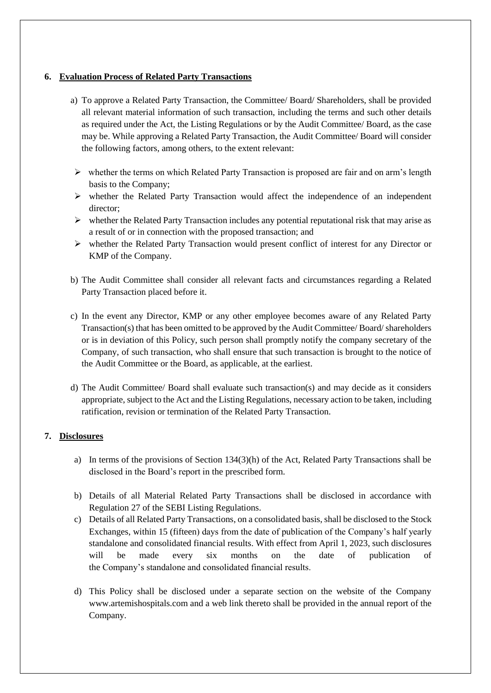## **6. Evaluation Process of Related Party Transactions**

- a) To approve a Related Party Transaction, the Committee/ Board/ Shareholders, shall be provided all relevant material information of such transaction, including the terms and such other details as required under the Act, the Listing Regulations or by the Audit Committee/ Board, as the case may be. While approving a Related Party Transaction, the Audit Committee/ Board will consider the following factors, among others, to the extent relevant:
- $\triangleright$  whether the terms on which Related Party Transaction is proposed are fair and on arm's length basis to the Company;
- $\triangleright$  whether the Related Party Transaction would affect the independence of an independent director;
- $\triangleright$  whether the Related Party Transaction includes any potential reputational risk that may arise as a result of or in connection with the proposed transaction; and
- $\triangleright$  whether the Related Party Transaction would present conflict of interest for any Director or KMP of the Company.
- b) The Audit Committee shall consider all relevant facts and circumstances regarding a Related Party Transaction placed before it.
- c) In the event any Director, KMP or any other employee becomes aware of any Related Party Transaction(s) that has been omitted to be approved by the Audit Committee/ Board/ shareholders or is in deviation of this Policy, such person shall promptly notify the company secretary of the Company, of such transaction, who shall ensure that such transaction is brought to the notice of the Audit Committee or the Board, as applicable, at the earliest.
- d) The Audit Committee/ Board shall evaluate such transaction(s) and may decide as it considers appropriate, subject to the Act and the Listing Regulations, necessary action to be taken, including ratification, revision or termination of the Related Party Transaction.

## **7. Disclosures**

- a) In terms of the provisions of Section 134(3)(h) of the Act, Related Party Transactions shall be disclosed in the Board's report in the prescribed form.
- b) Details of all Material Related Party Transactions shall be disclosed in accordance with Regulation 27 of the SEBI Listing Regulations.
- c) Details of all Related Party Transactions, on a consolidated basis, shall be disclosed to the Stock Exchanges, within 15 (fifteen) days from the date of publication of the Company's half yearly standalone and consolidated financial results. With effect from April 1, 2023, such disclosures will be made every six months on the date of publication of the Company's standalone and consolidated financial results.
- d) This Policy shall be disclosed under a separate section on the website of the Company www.artemishospitals.com and a web link thereto shall be provided in the annual report of the Company.